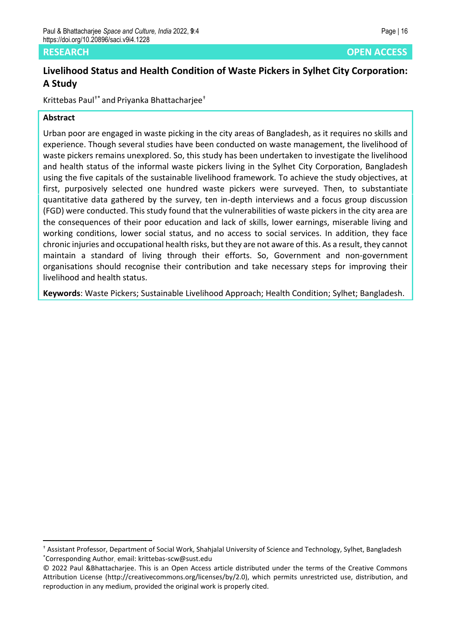**RESEARCH OPEN ACCESS**

# **Livelihood Status and Health Condition of Waste Pickers in Sylhet City Corporation: A Study**

Krittebas Paul†\* and Priyanka Bhattacharjee†

#### **Abstract**

Urban poor are engaged in waste picking in the city areas of Bangladesh, as it requires no skills and experience. Though several studies have been conducted on waste management, the livelihood of waste pickers remains unexplored. So, this study has been undertaken to investigate the livelihood and health status of the informal waste pickers living in the Sylhet City Corporation, Bangladesh using the five capitals of the sustainable livelihood framework. To achieve the study objectives, at first, purposively selected one hundred waste pickers were surveyed. Then, to substantiate quantitative data gathered by the survey, ten in-depth interviews and a focus group discussion (FGD) were conducted. This study found that the vulnerabilities of waste pickers in the city area are the consequences of their poor education and lack of skills, lower earnings, miserable living and working conditions, lower social status, and no access to social services. In addition, they face chronic injuries and occupational health risks, but they are not aware of this. As a result, they cannot maintain a standard of living through their efforts. So, Government and non-government organisations should recognise their contribution and take necessary steps for improving their livelihood and health status.

**Keywords**: Waste Pickers; Sustainable Livelihood Approach; Health Condition; Sylhet; Bangladesh.

<sup>†</sup> Assistant Professor, Department of Social Work, Shahjalal University of Science and Technology, Sylhet, Bangladesh \*Corresponding Author, email: krittebas-scw@sust.edu

<sup>© 2022</sup> Paul &Bhattacharjee. This is an Open Access article distributed under the terms of the Creative Commons Attribution License (http://creativecommons.org/licenses/by/2.0), which permits unrestricted use, distribution, and reproduction in any medium, provided the original work is properly cited.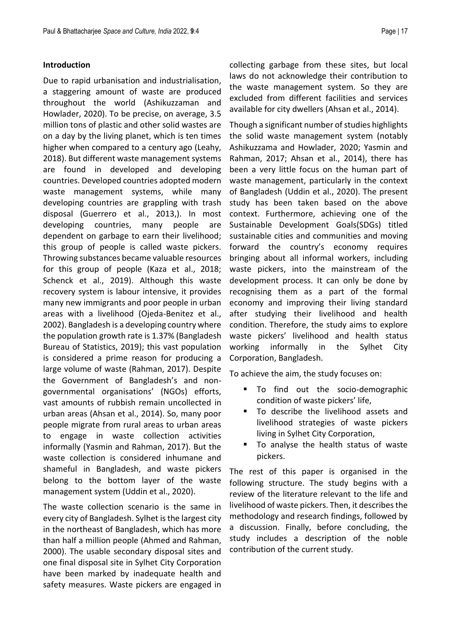#### **Introduction**

Due to rapid urbanisation and industrialisation, a staggering amount of waste are produced throughout the world (Ashikuzzaman and Howlader, 2020). To be precise, on average, 3.5 million tons of plastic and other solid wastes are on a day by the living planet, which is ten times higher when compared to a century ago (Leahy, 2018). But different waste management systems are found in developed and developing countries. Developed countries adopted modern waste management systems, while many developing countries are grappling with trash disposal (Guerrero et al., 2013,). In most developing countries, many people are dependent on garbage to earn their livelihood; this group of people is called waste pickers. Throwing substances became valuable resources for this group of people (Kaza et al., 2018; Schenck et al., 2019). Although this waste recovery system is labour intensive, it provides many new immigrants and poor people in urban areas with a livelihood (Ojeda-Benitez et al., 2002). Bangladesh is a developing country where the population growth rate is 1.37% (Bangladesh Bureau of Statistics, 2019); this vast population is considered a prime reason for producing a large volume of waste (Rahman, 2017). Despite the Government of Bangladesh's and nongovernmental organisations' (NGOs) efforts, vast amounts of rubbish remain uncollected in urban areas (Ahsan et al., 2014). So, many poor people migrate from rural areas to urban areas to engage in waste collection activities informally (Yasmin and Rahman, 2017). But the waste collection is considered inhumane and shameful in Bangladesh, and waste pickers belong to the bottom layer of the waste management system (Uddin et al., 2020).

The waste collection scenario is the same in every city of Bangladesh. Sylhet is the largest city in the northeast of Bangladesh, which has more than half a million people (Ahmed and Rahman, 2000). The usable secondary disposal sites and one final disposal site in Sylhet City Corporation have been marked by inadequate health and safety measures. Waste pickers are engaged in

collecting garbage from these sites, but local laws do not acknowledge their contribution to the waste management system. So they are excluded from different facilities and services available for city dwellers (Ahsan et al., 2014).

Though a significant number of studies highlights the solid waste management system (notably Ashikuzzama and Howlader, 2020; Yasmin and Rahman, 2017; Ahsan et al., 2014), there has been a very little focus on the human part of waste management, particularly in the context of Bangladesh (Uddin et al., 2020). The present study has been taken based on the above context. Furthermore, achieving one of the Sustainable Development Goals(SDGs) titled sustainable cities and communities and moving forward the country's economy requires bringing about all informal workers, including waste pickers, into the mainstream of the development process. It can only be done by recognising them as a part of the formal economy and improving their living standard after studying their livelihood and health condition. Therefore, the study aims to explore waste pickers' livelihood and health status working informally in the Sylhet City Corporation, Bangladesh.

To achieve the aim, the study focuses on:

- To find out the socio-demographic condition of waste pickers' life,
- To describe the livelihood assets and livelihood strategies of waste pickers living in Sylhet City Corporation,
- To analyse the health status of waste pickers.

The rest of this paper is organised in the following structure. The study begins with a review of the literature relevant to the life and livelihood of waste pickers. Then, it describes the methodology and research findings, followed by a discussion. Finally, before concluding, the study includes a description of the noble contribution of the current study.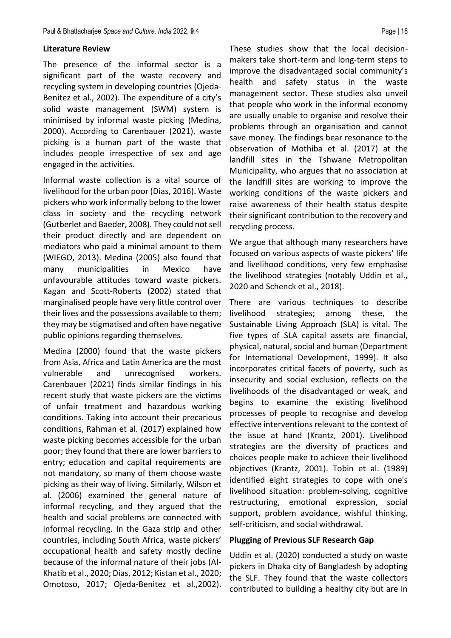#### **Literature Review**

The presence of the informal sector is a significant part of the waste recovery and recycling system in developing countries (Ojeda-Benitez et al., 2002). The expenditure of a city's solid waste management (SWM) system is minimised by informal waste picking (Medina, 2000). According to Carenbauer (2021), waste picking is a human part of the waste that includes people irrespective of sex and age engaged in the activities.

Informal waste collection is a vital source of livelihood for the urban poor (Dias, 2016). Waste pickers who work informally belong to the lower class in society and the recycling network (Gutberlet and Baeder, 2008). They could not sell their product directly and are dependent on mediators who paid a minimal amount to them (WIEGO, 2013). Medina (2005) also found that many municipalities in Mexico have unfavourable attitudes toward waste pickers. Kagan and Scott-Roberts (2002) stated that marginalised people have very little control over their lives and the possessions available to them; they may be stigmatised and often have negative public opinions regarding themselves.

Medina (2000) found that the waste pickers from Asia, Africa and Latin America are the most vulnerable and unrecognised workers. Carenbauer (2021) finds similar findings in his recent study that waste pickers are the victims of unfair treatment and hazardous working conditions. Taking into account their precarious conditions, Rahman et al. (2017) explained how waste picking becomes accessible for the urban poor; they found that there are lower barriers to entry; education and capital requirements are not mandatory, so many of them choose waste picking as their way of living. Similarly, Wilson et al. (2006) examined the general nature of informal recycling, and they argued that the health and social problems are connected with informal recycling. In the Gaza strip and other countries, including South Africa, waste pickers' occupational health and safety mostly decline because of the informal nature of their jobs (Al-Khatib et al., 2020; Dias, 2012; Kistan et al., 2020; Omotoso, 2017; Ojeda-Benitez et al.,2002).

These studies show that the local decisionmakers take short-term and long-term steps to improve the disadvantaged social community's health and safety status in the waste management sector. These studies also unveil that people who work in the informal economy are usually unable to organise and resolve their problems through an organisation and cannot save money. The findings bear resonance to the observation of Mothiba et al. (2017) at the landfill sites in the Tshwane Metropolitan Municipality, who argues that no association at the landfill sites are working to improve the working conditions of the waste pickers and raise awareness of their health status despite their significant contribution to the recovery and recycling process.

We argue that although many researchers have focused on various aspects of waste pickers' life and livelihood conditions, very few emphasise the livelihood strategies (notably Uddin et al., 2020 and Schenck et al., 2018).

There are various techniques to describe livelihood strategies; among these, the Sustainable Living Approach (SLA) is vital. The five types of SLA capital assets are financial, physical, natural, social and human (Department for International Development, 1999). It also incorporates critical facets of poverty, such as insecurity and social exclusion, reflects on the livelihoods of the disadvantaged or weak, and begins to examine the existing livelihood processes of people to recognise and develop effective interventions relevant to the context of the issue at hand (Krantz, 2001). Livelihood strategies are the diversity of practices and choices people make to achieve their livelihood objectives (Krantz, 2001). Tobin et al. (1989) identified eight strategies to cope with one's livelihood situation: problem-solving, cognitive restructuring, emotional expression, social support, problem avoidance, wishful thinking, self-criticism, and social withdrawal.

#### **Plugging of Previous SLF Research Gap**

Uddin et al. (2020) conducted a study on waste pickers in Dhaka city of Bangladesh by adopting the SLF. They found that the waste collectors contributed to building a healthy city but are in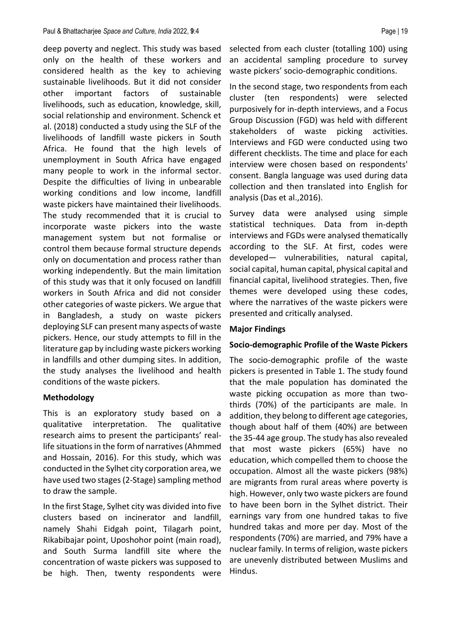deep poverty and neglect. This study was based only on the health of these workers and considered health as the key to achieving sustainable livelihoods. But it did not consider other important factors of sustainable livelihoods, such as education, knowledge, skill, social relationship and environment. Schenck et al. (2018) conducted a study using the SLF of the livelihoods of landfill waste pickers in South Africa. He found that the high levels of unemployment in South Africa have engaged many people to work in the informal sector. Despite the difficulties of living in unbearable working conditions and low income, landfill waste pickers have maintained their livelihoods. The study recommended that it is crucial to incorporate waste pickers into the waste management system but not formalise or control them because formal structure depends only on documentation and process rather than working independently. But the main limitation of this study was that it only focused on landfill workers in South Africa and did not consider other categories of waste pickers. We argue that in Bangladesh, a study on waste pickers deploying SLF can present many aspects of waste pickers. Hence, our study attempts to fill in the literature gap by including waste pickers working in landfills and other dumping sites. In addition, the study analyses the livelihood and health conditions of the waste pickers.

#### **Methodology**

This is an exploratory study based on a qualitative interpretation. The qualitative research aims to present the participants' reallife situations in the form of narratives (Ahmmed and Hossain, 2016). For this study, which was conducted in the Sylhet city corporation area, we have used two stages (2-Stage) sampling method to draw the sample.

In the first Stage, Sylhet city was divided into five clusters based on incinerator and landfill, namely Shahi Eidgah point, Tilagarh point, Rikabibajar point, Uposhohor point (main road), and South Surma landfill site where the concentration of waste pickers was supposed to be high. Then, twenty respondents were

In the second stage, two respondents from each cluster (ten respondents) were selected purposively for in-depth interviews, and a Focus Group Discussion (FGD) was held with different stakeholders of waste picking activities. Interviews and FGD were conducted using two different checklists. The time and place for each interview were chosen based on respondents' consent. Bangla language was used during data collection and then translated into English for analysis (Das et al.,2016).

Survey data were analysed using simple statistical techniques. Data from in-depth interviews and FGDs were analysed thematically according to the SLF. At first, codes were developed— vulnerabilities, natural capital, social capital, human capital, physical capital and financial capital, livelihood strategies. Then, five themes were developed using these codes, where the narratives of the waste pickers were presented and critically analysed.

#### **Major Findings**

#### **Socio-demographic Profile of the Waste Pickers**

The socio-demographic profile of the waste pickers is presented in Table 1. The study found that the male population has dominated the waste picking occupation as more than twothirds (70%) of the participants are male. In addition, they belong to different age categories, though about half of them (40%) are between the 35-44 age group. The study has also revealed that most waste pickers (65%) have no education, which compelled them to choose the occupation. Almost all the waste pickers (98%) are migrants from rural areas where poverty is high. However, only two waste pickers are found to have been born in the Sylhet district. Their earnings vary from one hundred takas to five hundred takas and more per day. Most of the respondents (70%) are married, and 79% have a nuclear family. In terms of religion, waste pickers are unevenly distributed between Muslims and Hindus.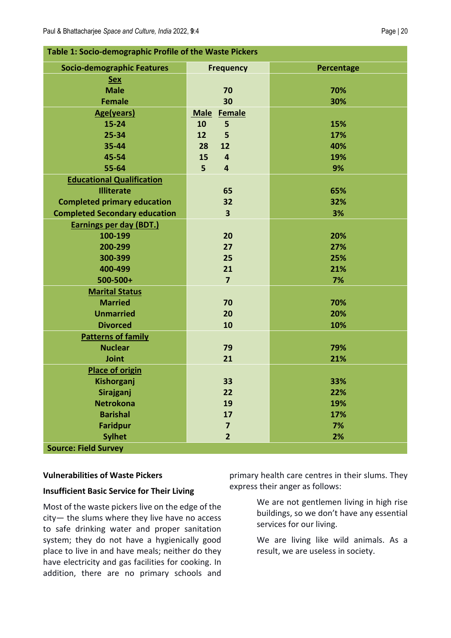| <b>Socio-demographic Features</b>    | <b>Frequency</b>              | Percentage |
|--------------------------------------|-------------------------------|------------|
| <b>Sex</b>                           |                               |            |
| <b>Male</b>                          | 70                            | 70%        |
| <b>Female</b>                        | 30                            | 30%        |
| <b>Age(years)</b>                    | <b>Female</b><br><b>Male</b>  |            |
| $15 - 24$                            | 10<br>5                       | 15%        |
| 25-34                                | 5<br>12                       | 17%        |
| 35-44                                | 12<br>28                      | 40%        |
| 45-54                                | 15<br>$\overline{\mathbf{4}}$ | 19%        |
| 55-64                                | 5<br>$\overline{\mathbf{4}}$  | 9%         |
| <b>Educational Qualification</b>     |                               |            |
| <b>Illiterate</b>                    | 65                            | 65%        |
| <b>Completed primary education</b>   | 32                            | 32%        |
| <b>Completed Secondary education</b> | $\overline{\mathbf{3}}$       | 3%         |
| <b>Earnings per day (BDT.)</b>       |                               |            |
| 100-199                              | 20                            | 20%        |
| 200-299                              | 27                            | 27%        |
| 300-399                              | 25                            | 25%        |
| 400-499                              | 21                            | 21%        |
| 500-500+                             | $\overline{\mathbf{z}}$       | 7%         |
| <b>Marital Status</b>                |                               |            |
| <b>Married</b>                       | 70                            | 70%        |
| <b>Unmarried</b>                     | 20                            | 20%        |
| <b>Divorced</b>                      | 10                            | 10%        |
| <b>Patterns of family</b>            |                               |            |
| <b>Nuclear</b>                       | 79                            | 79%        |
| Joint                                | 21                            | 21%        |
| <b>Place of origin</b>               |                               |            |
| Kishorganj                           | 33                            | 33%        |
| Sirajganj                            | 22                            | 22%        |
| <b>Netrokona</b>                     | 19                            | 19%        |
| <b>Barishal</b>                      | 17                            | 17%        |
| <b>Faridpur</b>                      | $\overline{\mathbf{z}}$       | 7%         |
| <b>Sylhet</b>                        | $\overline{2}$                | 2%         |
| <b>Source: Field Survey</b>          |                               |            |

#### **Vulnerabilities of Waste Pickers**

#### **Insufficient Basic Service for Their Living**

Most of the waste pickers live on the edge of the city— the slums where they live have no access to safe drinking water and proper sanitation system; they do not have a hygienically good place to live in and have meals; neither do they have electricity and gas facilities for cooking. In addition, there are no primary schools and

primary health care centres in their slums. They express their anger as follows:

> We are not gentlemen living in high rise buildings, so we don't have any essential services for our living.

> We are living like wild animals. As a result, we are useless in society.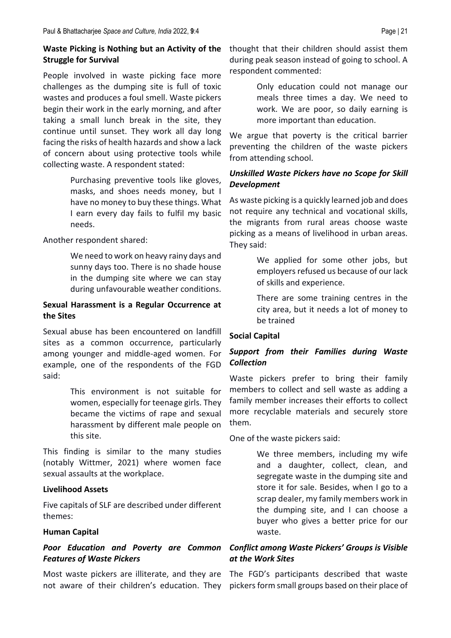# **Waste Picking is Nothing but an Activity of the Struggle for Survival**

People involved in waste picking face more challenges as the dumping site is full of toxic wastes and produces a foul smell. Waste pickers begin their work in the early morning, and after taking a small lunch break in the site, they continue until sunset. They work all day long facing the risks of health hazards and show a lack of concern about using protective tools while collecting waste. A respondent stated:

> Purchasing preventive tools like gloves, masks, and shoes needs money, but I have no money to buy these things. What I earn every day fails to fulfil my basic needs.

Another respondent shared:

We need to work on heavy rainy days and sunny days too. There is no shade house in the dumping site where we can stay during unfavourable weather conditions.

## **Sexual Harassment is a Regular Occurrence at the Sites**

Sexual abuse has been encountered on landfill sites as a common occurrence, particularly among younger and middle-aged women. For example, one of the respondents of the FGD said:

> This environment is not suitable for women, especially for teenage girls. They became the victims of rape and sexual harassment by different male people on this site.

This finding is similar to the many studies (notably Wittmer, 2021) where women face sexual assaults at the workplace.

# **Livelihood Assets**

Five capitals of SLF are described under different themes:

#### **Human Capital**

# *Poor Education and Poverty are Common Conflict among Waste Pickers' Groups is Visible Features of Waste Pickers*

Most waste pickers are illiterate, and they are The FGD's participants described that waste not aware of their children's education. They pickers form small groups based on their place of

thought that their children should assist them during peak season instead of going to school. A respondent commented:

> Only education could not manage our meals three times a day. We need to work. We are poor, so daily earning is more important than education.

We argue that poverty is the critical barrier preventing the children of the waste pickers from attending school.

# *Unskilled Waste Pickers have no Scope for Skill Development*

As waste picking is a quickly learned job and does not require any technical and vocational skills, the migrants from rural areas choose waste picking as a means of livelihood in urban areas. They said:

> We applied for some other jobs, but employers refused us because of our lack of skills and experience.

> There are some training centres in the city area, but it needs a lot of money to be trained

# **Social Capital**

# *Support from their Families during Waste Collection*

Waste pickers prefer to bring their family members to collect and sell waste as adding a family member increases their efforts to collect more recyclable materials and securely store them.

One of the waste pickers said:

We three members, including my wife and a daughter, collect, clean, and segregate waste in the dumping site and store it for sale. Besides, when I go to a scrap dealer, my family members work in the dumping site, and I can choose a buyer who gives a better price for our waste.

# *at the Work Sites*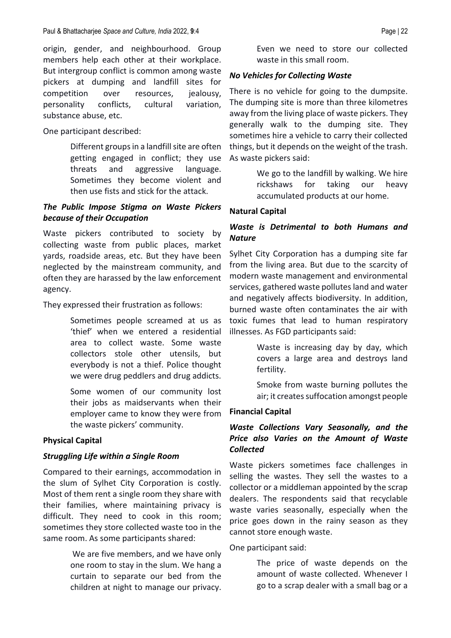origin, gender, and neighbourhood. Group members help each other at their workplace. But intergroup conflict is common among waste pickers at dumping and landfill sites for competition over resources, jealousy, personality conflicts, cultural variation, substance abuse, etc.

#### One participant described:

Different groups in a landfill site are often getting engaged in conflict; they use threats and aggressive language. Sometimes they become violent and then use fists and stick for the attack.

#### *The Public Impose Stigma on Waste Pickers because of their Occupation*

Waste pickers contributed to society by collecting waste from public places, market yards, roadside areas, etc. But they have been neglected by the mainstream community, and often they are harassed by the law enforcement agency.

They expressed their frustration as follows:

Sometimes people screamed at us as 'thief' when we entered a residential area to collect waste. Some waste collectors stole other utensils, but everybody is not a thief. Police thought we were drug peddlers and drug addicts.

Some women of our community lost their jobs as maidservants when their employer came to know they were from the waste pickers' community.

#### **Physical Capital**

#### *Struggling Life within a Single Room*

Compared to their earnings, accommodation in the slum of Sylhet City Corporation is costly. Most of them rent a single room they share with their families, where maintaining privacy is difficult. They need to cook in this room; sometimes they store collected waste too in the same room. As some participants shared:

> We are five members, and we have only one room to stay in the slum. We hang a curtain to separate our bed from the children at night to manage our privacy.

Even we need to store our collected waste in this small room.

#### *No Vehicles for Collecting Waste*

There is no vehicle for going to the dumpsite. The dumping site is more than three kilometres away from the living place of waste pickers. They generally walk to the dumping site. They sometimes hire a vehicle to carry their collected things, but it depends on the weight of the trash. As waste pickers said:

> We go to the landfill by walking. We hire rickshaws for taking our heavy accumulated products at our home.

#### **Natural Capital**

# *Waste is Detrimental to both Humans and Nature*

Sylhet City Corporation has a dumping site far from the living area. But due to the scarcity of modern waste management and environmental services, gathered waste pollutes land and water and negatively affects biodiversity. In addition, burned waste often contaminates the air with toxic fumes that lead to human respiratory illnesses. As FGD participants said:

> Waste is increasing day by day, which covers a large area and destroys land fertility.

> Smoke from waste burning pollutes the air; it creates suffocation amongst people

#### **Financial Capital**

# *Waste Collections Vary Seasonally, and the Price also Varies on the Amount of Waste Collected*

Waste pickers sometimes face challenges in selling the wastes. They sell the wastes to a collector or a middleman appointed by the scrap dealers. The respondents said that recyclable waste varies seasonally, especially when the price goes down in the rainy season as they cannot store enough waste.

One participant said:

The price of waste depends on the amount of waste collected. Whenever I go to a scrap dealer with a small bag or a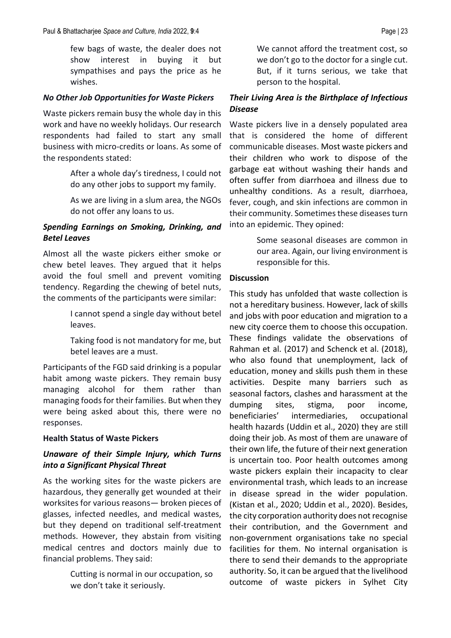few bags of waste, the dealer does not show interest in buying it but sympathises and pays the price as he wishes.

#### *No Other Job Opportunities for Waste Pickers*

Waste pickers remain busy the whole day in this work and have no weekly holidays. Our research respondents had failed to start any small business with micro-credits or loans. As some of the respondents stated:

> After a whole day's tiredness, I could not do any other jobs to support my family.

> As we are living in a slum area, the NGOs do not offer any loans to us.

#### *Spending Earnings on Smoking, Drinking, and Betel Leaves*

Almost all the waste pickers either smoke or chew betel leaves. They argued that it helps avoid the foul smell and prevent vomiting tendency. Regarding the chewing of betel nuts, the comments of the participants were similar:

> I cannot spend a single day without betel leaves.

> Taking food is not mandatory for me, but betel leaves are a must.

Participants of the FGD said drinking is a popular habit among waste pickers. They remain busy managing alcohol for them rather than managing foods for their families. But when they were being asked about this, there were no responses.

#### **Health Status of Waste Pickers**

# *Unaware of their Simple Injury, which Turns into a Significant Physical Threat*

As the working sites for the waste pickers are hazardous, they generally get wounded at their worksites for various reasons— broken pieces of glasses, infected needles, and medical wastes, but they depend on traditional self-treatment methods. However, they abstain from visiting medical centres and doctors mainly due to financial problems. They said:

> Cutting is normal in our occupation, so we don't take it seriously.

We cannot afford the treatment cost, so we don't go to the doctor for a single cut. But, if it turns serious, we take that person to the hospital.

## *Their Living Area is the Birthplace of Infectious Disease*

Waste pickers live in a densely populated area that is considered the home of different communicable diseases. Most waste pickers and their children who work to dispose of the garbage eat without washing their hands and often suffer from diarrhoea and illness due to unhealthy conditions. As a result, diarrhoea, fever, cough, and skin infections are common in their community. Sometimes these diseases turn into an epidemic. They opined:

> Some seasonal diseases are common in our area. Again, our living environment is responsible for this.

#### **Discussion**

This study has unfolded that waste collection is not a hereditary business. However, lack of skills and jobs with poor education and migration to a new city coerce them to choose this occupation. These findings validate the observations of Rahman et al. (2017) and Schenck et al. (2018), who also found that unemployment, lack of education, money and skills push them in these activities. Despite many barriers such as seasonal factors, clashes and harassment at the dumping sites, stigma, poor income, beneficiaries' intermediaries, occupational health hazards (Uddin et al., 2020) they are still doing their job. As most of them are unaware of their own life, the future of their next generation is uncertain too. Poor health outcomes among waste pickers explain their incapacity to clear environmental trash, which leads to an increase in disease spread in the wider population. (Kistan et al., 2020; Uddin et al., 2020). Besides, the city corporation authority does not recognise their contribution, and the Government and non-government organisations take no special facilities for them. No internal organisation is there to send their demands to the appropriate authority. So, it can be argued that the livelihood outcome of waste pickers in Sylhet City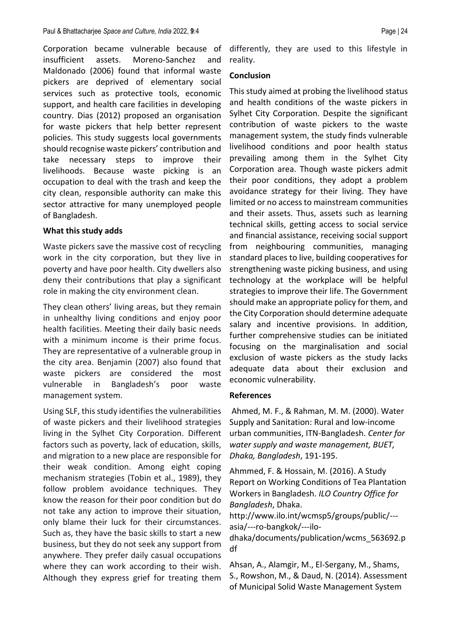Corporation became vulnerable because of insufficient assets. Moreno-Sanchez and Maldonado (2006) found that informal waste pickers are deprived of elementary social services such as protective tools, economic support, and health care facilities in developing country. Dias (2012) proposed an organisation for waste pickers that help better represent policies. This study suggests local governments should recognise waste pickers' contribution and take necessary steps to improve their livelihoods. Because waste picking is an occupation to deal with the trash and keep the city clean, responsible authority can make this sector attractive for many unemployed people of Bangladesh.

#### **What this study adds**

Waste pickers save the massive cost of recycling work in the city corporation, but they live in poverty and have poor health. City dwellers also deny their contributions that play a significant role in making the city environment clean.

They clean others' living areas, but they remain in unhealthy living conditions and enjoy poor health facilities. Meeting their daily basic needs with a minimum income is their prime focus. They are representative of a vulnerable group in the city area. Benjamin (2007) also found that waste pickers are considered the most vulnerable in Bangladesh's poor waste management system.

Using SLF, this study identifies the vulnerabilities of waste pickers and their livelihood strategies living in the Sylhet City Corporation. Different factors such as poverty, lack of education, skills, and migration to a new place are responsible for their weak condition. Among eight coping mechanism strategies (Tobin et al., 1989), they follow problem avoidance techniques. They know the reason for their poor condition but do not take any action to improve their situation, only blame their luck for their circumstances. Such as, they have the basic skills to start a new business, but they do not seek any support from anywhere. They prefer daily casual occupations where they can work according to their wish. Although they express grief for treating them

differently, they are used to this lifestyle in reality.

#### **Conclusion**

This study aimed at probing the livelihood status and health conditions of the waste pickers in Sylhet City Corporation. Despite the significant contribution of waste pickers to the waste management system, the study finds vulnerable livelihood conditions and poor health status prevailing among them in the Sylhet City Corporation area. Though waste pickers admit their poor conditions, they adopt a problem avoidance strategy for their living. They have limited or no access to mainstream communities and their assets. Thus, assets such as learning technical skills, getting access to social service and financial assistance, receiving social support from neighbouring communities, managing standard places to live, building cooperatives for strengthening waste picking business, and using technology at the workplace will be helpful strategies to improve their life. The Government should make an appropriate policy for them, and the City Corporation should determine adequate salary and incentive provisions. In addition, further comprehensive studies can be initiated focusing on the marginalisation and social exclusion of waste pickers as the study lacks adequate data about their exclusion and economic vulnerability.

#### **References**

Ahmed, M. F., & Rahman, M. M. (2000). Water Supply and Sanitation: Rural and low-income urban communities, ITN-Bangladesh. *Center for water supply and waste management, BUET, Dhaka, Bangladesh*, 191-195.

Ahmmed, F. & Hossain, M. (2016). A Study Report on Working Conditions of Tea Plantation Workers in Bangladesh. *ILO Country Office for Bangladesh*, Dhaka.

[http://www.ilo.int/wcmsp5/groups/public/--](http://www.ilo.int/wcmsp5/groups/public/---asia/---ro-bangkok/---ilo-dhaka/documents/publication/wcms_563692.pdf) [asia/---ro-bangkok/---ilo-](http://www.ilo.int/wcmsp5/groups/public/---asia/---ro-bangkok/---ilo-dhaka/documents/publication/wcms_563692.pdf)

[dhaka/documents/publication/wcms\\_563692.p](http://www.ilo.int/wcmsp5/groups/public/---asia/---ro-bangkok/---ilo-dhaka/documents/publication/wcms_563692.pdf) [df](http://www.ilo.int/wcmsp5/groups/public/---asia/---ro-bangkok/---ilo-dhaka/documents/publication/wcms_563692.pdf)

Ahsan, A., Alamgir, M., El-Sergany, M., Shams, S., Rowshon, M., & Daud, N. (2014). Assessment of Municipal Solid Waste Management System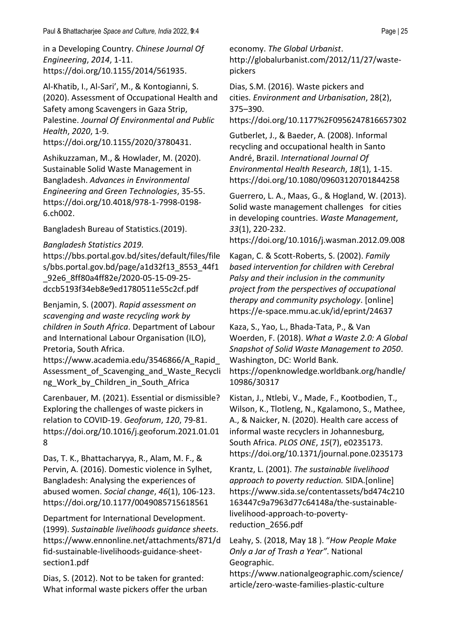in a Developing Country. *Chinese Journal Of Engineering*, *2014*, 1-11. [https://doi.org/10.1155/2014/561935.](https://doi.org/10.1155/2014/561935)

Al-Khatib, I., Al-Sari', M., & Kontogianni, S. (2020). Assessment of Occupational Health and Safety among Scavengers in Gaza Strip, Palestine. *Journal Of Environmental and Public Health*, *2020*, 1-9.

[https://doi.org/10.1155/2020/3780431.](https://doi.org/10.1155/2020/3780431)

Ashikuzzaman, M., & Howlader, M. (2020). Sustainable Solid Waste Management in Bangladesh. *Advances in Environmental Engineering and Green Technologies*, 35-55. [https://doi.org/10.4018/978-1-7998-0198-](https://doi.org/10.4018/978-1-7998-0198-6.ch002) [6.ch002.](https://doi.org/10.4018/978-1-7998-0198-6.ch002)

Bangladesh Bureau of Statistics.(2019).

#### *Bangladesh Statistics 2019.*

[https://bbs.portal.gov.bd/sites/default/files/file](https://bbs.portal.gov.bd/sites/default/files/files/bbs.portal.gov.bd/page/a1d32f13_8553_44f1_92e6_8ff80a4ff82e/2020-05-15-09-25-dccb5193f34eb8e9ed1780511e55c2cf.pdf) [s/bbs.portal.gov.bd/page/a1d32f13\\_8553\\_44f1](https://bbs.portal.gov.bd/sites/default/files/files/bbs.portal.gov.bd/page/a1d32f13_8553_44f1_92e6_8ff80a4ff82e/2020-05-15-09-25-dccb5193f34eb8e9ed1780511e55c2cf.pdf) [\\_92e6\\_8ff80a4ff82e/2020-05-15-09-25](https://bbs.portal.gov.bd/sites/default/files/files/bbs.portal.gov.bd/page/a1d32f13_8553_44f1_92e6_8ff80a4ff82e/2020-05-15-09-25-dccb5193f34eb8e9ed1780511e55c2cf.pdf) [dccb5193f34eb8e9ed1780511e55c2cf.pdf](https://bbs.portal.gov.bd/sites/default/files/files/bbs.portal.gov.bd/page/a1d32f13_8553_44f1_92e6_8ff80a4ff82e/2020-05-15-09-25-dccb5193f34eb8e9ed1780511e55c2cf.pdf)

Benjamin, S. (2007). *Rapid assessment on scavenging and waste recycling work by children in South Africa*. Department of Labour and International Labour Organisation (ILO), Pretoria, South Africa.

https://www.academia.edu/3546866/A\_Rapid\_ Assessment of Scavenging and Waste Recycli ng Work by Children in South Africa

Carenbauer, M. (2021). Essential or dismissible? Exploring the challenges of waste pickers in relation to COVID-19. *Geoforum*, *120*, 79-81. [https://doi.org/10.1016/j.geoforum.2021.01.01](https://doi.org/10.1016/j.geoforum.2021.01.018) [8](https://doi.org/10.1016/j.geoforum.2021.01.018)

Das, T. K., Bhattacharyya, R., Alam, M. F., & Pervin, A. (2016). Domestic violence in Sylhet, Bangladesh: Analysing the experiences of abused women. *Social change*, *46*(1), 106-123. [https://doi.org/10.1177/0049085715618561](https://doi.org/10.1177%2F0049085715618561)

Department for International Development. (1999). *Sustainable livelihoods guidance sheets*. https://www.ennonline.net/attachments/871/d fid-sustainable-livelihoods-guidance-sheetsection1.pdf

Dias, S. (2012). Not to be taken for granted: What informal waste pickers offer the urban economy. *The Global Urbanist*. [http://globalurbanist.com/2012/11/27/waste](http://globalurbanist.com/2012/11/27/waste-pickers)[pickers](http://globalurbanist.com/2012/11/27/waste-pickers)

Dias, S.M. (2016). Waste pickers and cities. *Environment and Urbanisation*, 28(2), 375–390.

<https://doi.org/10.1177%2F0956247816657302>

Gutberlet, J., & Baeder, A. (2008). Informal recycling and occupational health in Santo André, Brazil. *International Journal Of Environmental Health Research*, *18*(1), 1-15. <https://doi.org/10.1080/09603120701844258>

Guerrero, L. A., Maas, G., & Hogland, W. (2013). Solid waste management challenges for cities in developing countries. *Waste Management*, *33*(1), 220-232.

https://doi.org/10.1016/j.wasman.2012.09.008

Kagan, C. & Scott-Roberts, S. (2002). *Family based intervention for children with Cerebral Palsy and their inclusion in the community project from the perspectives of occupational therapy and community psychology*. [online] https://e-space.mmu.ac.uk/id/eprint/24637

Kaza, S., Yao, L., Bhada-Tata, P., & Van Woerden, F. (2018). *What a Waste 2.0: A Global Snapshot of Solid Waste Management to 2050*. Washington, DC: World Bank. [https://openknowledge.worldbank.org/handle/](https://openknowledge.worldbank.org/handle/10986/30317) [10986/30317](https://openknowledge.worldbank.org/handle/10986/30317)

Kistan, J., Ntlebi, V., Made, F., Kootbodien, T., Wilson, K., Tlotleng, N., Kgalamono, S., Mathee, A., & Naicker, N. (2020). Health care access of informal waste recyclers in Johannesburg, South Africa. *PLOS ONE*, *15*(7), e0235173. <https://doi.org/10.1371/journal.pone.0235173>

Krantz, L. (2001). *The sustainable livelihood approach to poverty reduction.* SIDA.[online] [https://www.sida.se/contentassets/bd474c210](https://www.sida.se/contentassets/bd474c210163447c9a7963d77c64148a/the-sustainable-livelihood-approach-to-poverty-reduction_2656.pdf) [163447c9a7963d77c64148a/the-sustainable](https://www.sida.se/contentassets/bd474c210163447c9a7963d77c64148a/the-sustainable-livelihood-approach-to-poverty-reduction_2656.pdf)[livelihood-approach-to-poverty](https://www.sida.se/contentassets/bd474c210163447c9a7963d77c64148a/the-sustainable-livelihood-approach-to-poverty-reduction_2656.pdf)[reduction\\_2656.pdf](https://www.sida.se/contentassets/bd474c210163447c9a7963d77c64148a/the-sustainable-livelihood-approach-to-poverty-reduction_2656.pdf)

Leahy, S. (2018, May 18 ). "*How People Make Only a Jar of Trash a Year"*. National Geographic.

[https://www.nationalgeographic.com/science/](https://www.nationalgeographic.com/science/article/zero-waste-families-plastic-culture) [article/zero-waste-families-plastic-culture](https://www.nationalgeographic.com/science/article/zero-waste-families-plastic-culture)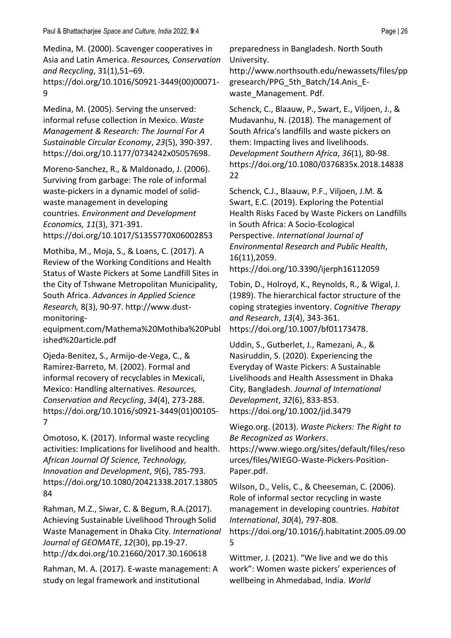Medina, M. (2000). Scavenger cooperatives in Asia and Latin America. *Resources, Conservation and Recycling*, 31(1),51–69. [https://doi.org/10.1016/S0921-3449\(00\)00071-](https://doi.org/10.1016/S0921-3449(00)00071-9) [9](https://doi.org/10.1016/S0921-3449(00)00071-9)

Medina, M. (2005). Serving the unserved: informal refuse collection in Mexico. *Waste Management & Research: The Journal For A Sustainable Circular Economy*, *23*(5), 390-397. [https://doi.org/10.1177/0734242x05057698.](https://doi.org/10.1177/0734242x05057698)

Moreno-Sanchez, R., & Maldonado, J. (2006). Surviving from garbage: The role of informal waste-pickers in a dynamic model of solidwaste management in developing countries. *Environment and Development Economics, 11*(3), 371-391. <https://doi.org/10.1017/S1355770X06002853>

Mothiba, M., Moja, S., & Loans, C. (2017). A Review of the Working Conditions and Health Status of Waste Pickers at Some Landfill Sites in the City of Tshwane Metropolitan Municipality, South Africa. *Advances in Applied Science Research,* 8(3), 90-97. http://www.dustmonitoring-

equipment.com/Mathema%20Mothiba%20Publ ished%20article.pdf

Ojeda-Benitez, S., Armijo-de-Vega, C., & Ramírez-Barreto, M. (2002). Formal and informal recovery of recyclables in Mexicali, Mexico: Handling alternatives. *Resources, Conservation and Recycling*, *34*(4), 273-288. [https://doi.org/10.1016/s0921-3449\(01\)00105-](https://doi.org/10.1016/s0921-3449(01)00105-7) [7](https://doi.org/10.1016/s0921-3449(01)00105-7)

Omotoso, K. (2017). Informal waste recycling activities: Implications for livelihood and health. *African Journal Of Science, Technology, Innovation and Development*, *9*(6), 785-793. [https://doi.org/10.1080/20421338.2017.13805](https://doi.org/10.1080/20421338.2017.1380584) [84](https://doi.org/10.1080/20421338.2017.1380584)

Rahman, M.Z., Siwar, C. & Begum, R.A.(2017). Achieving Sustainable Livelihood Through Solid Waste Management in Dhaka City. *International Journal of GEOMATE*, *12*(30), pp.19-27. <http://dx.doi.org/10.21660/2017.30.160618>

Rahman, M. A. (2017). E-waste management: A study on legal framework and institutional

preparedness in Bangladesh. North South University.

http://www.northsouth.edu/newassets/files/pp gresearch/PPG\_5th\_Batch/14.Anis\_Ewaste Management. Pdf.

Schenck, C., Blaauw, P., Swart, E., Viljoen, J., & Mudavanhu, N. (2018). The management of South Africa's landfills and waste pickers on them: Impacting lives and livelihoods. *Development Southern Africa*, *36*(1), 80-98. [https://doi.org/10.1080/0376835x.2018.14838](https://doi.org/10.1080/0376835x.2018.1483822) [22](https://doi.org/10.1080/0376835x.2018.1483822)

Schenck, C.J., Blaauw, P.F., Viljoen, J.M. & Swart, E.C. (2019). Exploring the Potential Health Risks Faced by Waste Pickers on Landfills in South Africa: A Socio-Ecological Perspective. *International Journal of Environmental Research and Public Health*, 16(11),2059.

<https://doi.org/10.3390/ijerph16112059>

Tobin, D., Holroyd, K., Reynolds, R., & Wigal, J. (1989). The hierarchical factor structure of the coping strategies inventory. *Cognitive Therapy and Research*, *13*(4), 343-361. [https://doi.org/10.1007/bf01173478.](https://doi.org/10.1007/bf01173478)

Uddin, S., Gutberlet, J., Ramezani, A., & Nasiruddin, S. (2020). Experiencing the Everyday of Waste Pickers: A Sustainable Livelihoods and Health Assessment in Dhaka City, Bangladesh. *Journal of International Development*, *32*(6), 833-853. <https://doi.org/10.1002/jid.3479>

Wiego.org. (2013). *Waste Pickers: The Right to Be Recognized as Workers*.

[https://www.wiego.org/sites/default/files/reso](https://www.wiego.org/sites/default/files/resources/files/WIEGO-Waste-Pickers-Position-Paper.pdf) [urces/files/WIEGO-Waste-Pickers-Position-](https://www.wiego.org/sites/default/files/resources/files/WIEGO-Waste-Pickers-Position-Paper.pdf)[Paper.pdf.](https://www.wiego.org/sites/default/files/resources/files/WIEGO-Waste-Pickers-Position-Paper.pdf)

Wilson, D., Velis, C., & Cheeseman, C. (2006). Role of informal sector recycling in waste management in developing countries. *Habitat International*, *30*(4), 797-808. [https://doi.org/10.1016/j.habitatint.2005.09.00](https://doi.org/10.1016/j.habitatint.2005.09.005) [5](https://doi.org/10.1016/j.habitatint.2005.09.005)

Wittmer, J. (2021). "We live and we do this work": Women waste pickers' experiences of wellbeing in Ahmedabad, India. *World*